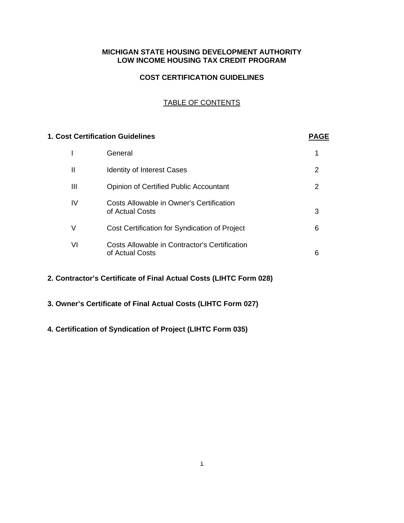# **MICHIGAN STATE HOUSING DEVELOPMENT AUTHORITY LOW INCOME HOUSING TAX CREDIT PROGRAM**

# **COST CERTIFICATION GUIDELINES**

# TABLE OF CONTENTS

# **1. Cost Certification Guidelines PAGE**

|              | General                                                          |   |
|--------------|------------------------------------------------------------------|---|
| $\mathbf{I}$ | <b>Identity of Interest Cases</b>                                | 2 |
| Ш            | <b>Opinion of Certified Public Accountant</b>                    |   |
| IV           | Costs Allowable in Owner's Certification<br>of Actual Costs      | 3 |
| V            | Cost Certification for Syndication of Project                    | 6 |
| VI           | Costs Allowable in Contractor's Certification<br>of Actual Costs | 6 |

# **2. Contractor's Certificate of Final Actual Costs (LIHTC Form 028)**

**3. Owner's Certificate of Final Actual Costs (LIHTC Form 027)** 

# **4. Certification of Syndication of Project (LIHTC Form 035)**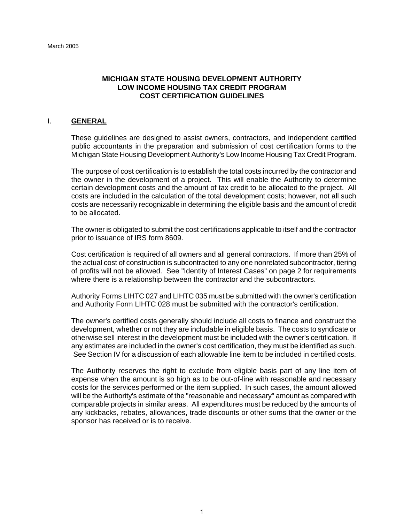### **MICHIGAN STATE HOUSING DEVELOPMENT AUTHORITY LOW INCOME HOUSING TAX CREDIT PROGRAM COST CERTIFICATION GUIDELINES**

#### I. **GENERAL**

These guidelines are designed to assist owners, contractors, and independent certified public accountants in the preparation and submission of cost certification forms to the Michigan State Housing Development Authority's Low Income Housing Tax Credit Program.

The purpose of cost certification is to establish the total costs incurred by the contractor and the owner in the development of a project. This will enable the Authority to determine certain development costs and the amount of tax credit to be allocated to the project. All costs are included in the calculation of the total development costs; however, not all such costs are necessarily recognizable in determining the eligible basis and the amount of credit to be allocated.

The owner is obligated to submit the cost certifications applicable to itself and the contractor prior to issuance of IRS form 8609.

Cost certification is required of all owners and all general contractors. If more than 25% of the actual cost of construction is subcontracted to any one nonrelated subcontractor, tiering of profits will not be allowed. See "Identity of Interest Cases" on page 2 for requirements where there is a relationship between the contractor and the subcontractors.

Authority Forms LIHTC 027 and LIHTC 035 must be submitted with the owner's certification and Authority Form LIHTC 028 must be submitted with the contractor's certification.

The owner's certified costs generally should include all costs to finance and construct the development, whether or not they are includable in eligible basis. The costs to syndicate or otherwise sell interest in the development must be included with the owner's certification. If any estimates are included in the owner's cost certification, they must be identified as such. See Section IV for a discussion of each allowable line item to be included in certified costs.

The Authority reserves the right to exclude from eligible basis part of any line item of expense when the amount is so high as to be out-of-line with reasonable and necessary costs for the services performed or the item supplied. In such cases, the amount allowed will be the Authority's estimate of the "reasonable and necessary" amount as compared with comparable projects in similar areas. All expenditures must be reduced by the amounts of any kickbacks, rebates, allowances, trade discounts or other sums that the owner or the sponsor has received or is to receive.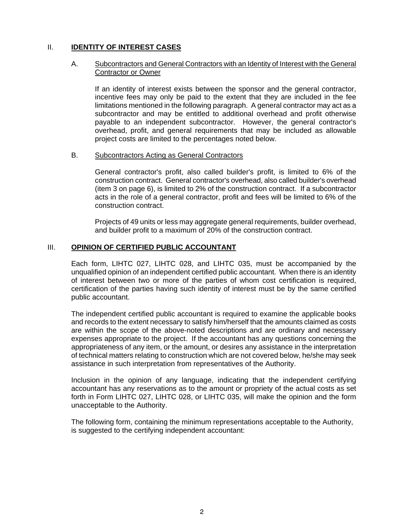# II. **IDENTITY OF INTEREST CASES**

# A. Subcontractors and General Contractors with an Identity of Interest with the General Contractor or Owner

If an identity of interest exists between the sponsor and the general contractor, incentive fees may only be paid to the extent that they are included in the fee limitations mentioned in the following paragraph. A general contractor may act as a subcontractor and may be entitled to additional overhead and profit otherwise payable to an independent subcontractor. However, the general contractor's overhead, profit, and general requirements that may be included as allowable project costs are limited to the percentages noted below.

#### B. Subcontractors Acting as General Contractors

General contractor's profit, also called builder's profit, is limited to 6% of the construction contract. General contractor's overhead, also called builder's overhead (item 3 on page 6), is limited to 2% of the construction contract. If a subcontractor acts in the role of a general contractor, profit and fees will be limited to 6% of the construction contract.

Projects of 49 units or less may aggregate general requirements, builder overhead, and builder profit to a maximum of 20% of the construction contract.

# III. **OPINION OF CERTIFIED PUBLIC ACCOUNTANT**

Each form, LIHTC 027, LIHTC 028, and LIHTC 035, must be accompanied by the unqualified opinion of an independent certified public accountant. When there is an identity of interest between two or more of the parties of whom cost certification is required, certification of the parties having such identity of interest must be by the same certified public accountant.

The independent certified public accountant is required to examine the applicable books and records to the extent necessary to satisfy him/herself that the amounts claimed as costs are within the scope of the above-noted descriptions and are ordinary and necessary expenses appropriate to the project. If the accountant has any questions concerning the appropriateness of any item, or the amount, or desires any assistance in the interpretation of technical matters relating to construction which are not covered below, he/she may seek assistance in such interpretation from representatives of the Authority.

Inclusion in the opinion of any language, indicating that the independent certifying accountant has any reservations as to the amount or propriety of the actual costs as set forth in Form LIHTC 027, LIHTC 028, or LIHTC 035, will make the opinion and the form unacceptable to the Authority.

The following form, containing the minimum representations acceptable to the Authority, is suggested to the certifying independent accountant: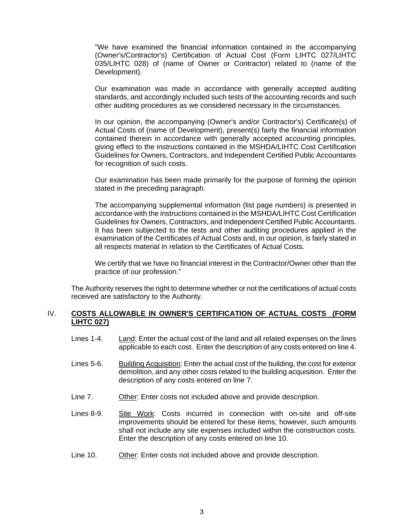"We have examined the financial information contained in the accompanying (Owner's/Contractor's) Certification of Actual Cost (Form LIHTC 027/LIHTC 035/LIHTC 028) of (name of Owner or Contractor) related to (name of the Development).

Our examination was made in accordance with generally accepted auditing standards, and accordingly included such tests of the accounting records and such other auditing procedures as we considered necessary in the circumstances.

In our opinion, the accompanying (Owner's and/or Contractor's) Certificate(s) of Actual Costs of (name of Development), present(s) fairly the financial information contained therein in accordance with generally accepted accounting principles, giving effect to the instructions contained in the MSHDA/LIHTC Cost Certification Guidelines for Owners, Contractors, and Independent Certified Public Accountants for recognition of such costs.

Our examination has been made primarily for the purpose of forming the opinion stated in the preceding paragraph.

The accompanying supplemental information (list page numbers) is presented in accordance with the instructions contained in the MSHDA/LIHTC Cost Certification Guidelines for Owners, Contractors, and Independent Certified Public Accountants. It has been subjected to the tests and other auditing procedures applied in the examination of the Certificates of Actual Costs and, in our opinion, is fairly stated in all respects material in relation to the Certificates of Actual Costs.

We certify that we have no financial interest in the Contractor/Owner other than the practice of our profession."

The Authority reserves the right to determine whether or not the certifications of actual costs received are satisfactory to the Authority.

# IV. **COSTS ALLOWABLE IN OWNER'S CERTIFICATION OF ACTUAL COSTS (FORM LIHTC 027)**

- Lines 1-4. Land: Enter the actual cost of the land and all related expenses on the lines applicable to each cost. Enter the description of any costs entered on line 4.
- Lines 5-6. Building Acquisition: Enter the actual cost of the building, the cost for exterior demolition, and any other costs related to the building acquisition. Enter the description of any costs entered on line 7.
- Line 7. Other: Enter costs not included above and provide description.
- Lines 8-9. Site Work: Costs incurred in connection with on-site and off-site improvements should be entered for these items; however, such amounts shall not include any site expenses included within the construction costs. Enter the description of any costs entered on line 10.
- Line 10. Other: Enter costs not included above and provide description.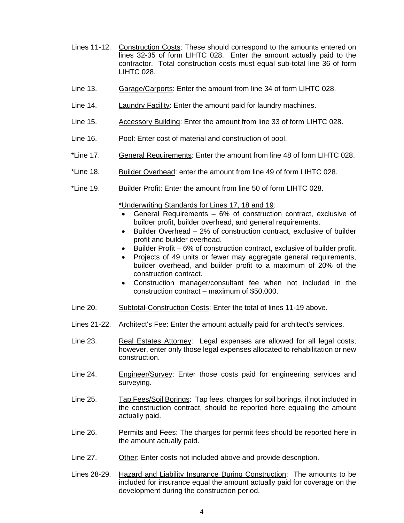- Lines 11-12. Construction Costs: These should correspond to the amounts entered on lines 32-35 of form LIHTC 028. Enter the amount actually paid to the contractor. Total construction costs must equal sub-total line 36 of form LIHTC 028.
- Line 13. Garage/Carports: Enter the amount from line 34 of form LIHTC 028.
- Line 14. Laundry Facility: Enter the amount paid for laundry machines.
- Line 15. Accessory Building: Enter the amount from line 33 of form LIHTC 028.
- Line 16. Pool: Enter cost of material and construction of pool.
- \*Line 17. General Requirements: Enter the amount from line 48 of form LIHTC 028.
- \*Line 18. Builder Overhead: enter the amount from line 49 of form LIHTC 028.
- \*Line 19. Builder Profit: Enter the amount from line 50 of form LIHTC 028.

\*Underwriting Standards for Lines 17, 18 and 19:

- General Requirements 6% of construction contract, exclusive of builder profit, builder overhead, and general requirements.
- Builder Overhead 2% of construction contract, exclusive of builder profit and builder overhead.
- Builder Profit 6% of construction contract, exclusive of builder profit.
- Projects of 49 units or fewer may aggregate general requirements, builder overhead, and builder profit to a maximum of 20% of the construction contract.
- Construction manager/consultant fee when not included in the construction contract – maximum of \$50,000.
- Line 20. Subtotal-Construction Costs: Enter the total of lines 11-19 above.
- Lines 21-22. Architect's Fee: Enter the amount actually paid for architect's services.
- Line 23. Real Estates Attorney: Legal expenses are allowed for all legal costs; however, enter only those legal expenses allocated to rehabilitation or new construction.
- Line 24. Engineer/Survey: Enter those costs paid for engineering services and surveying.
- Line 25. Tap Fees/Soil Borings: Tap fees, charges for soil borings, if not included in the construction contract, should be reported here equaling the amount actually paid.
- Line 26. Permits and Fees: The charges for permit fees should be reported here in the amount actually paid.
- Line 27. Other: Enter costs not included above and provide description.
- Lines 28-29. Hazard and Liability Insurance During Construction: The amounts to be included for insurance equal the amount actually paid for coverage on the development during the construction period.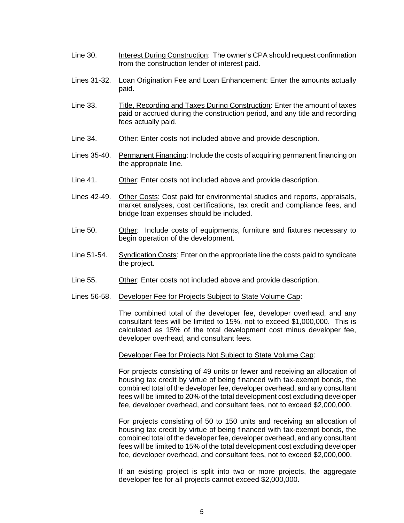- Line 30. Interest During Construction: The owner's CPA should request confirmation from the construction lender of interest paid.
- Lines 31-32. Loan Origination Fee and Loan Enhancement: Enter the amounts actually paid.
- Line 33. Title, Recording and Taxes During Construction: Enter the amount of taxes paid or accrued during the construction period, and any title and recording fees actually paid.
- Line 34. Other: Enter costs not included above and provide description.
- Lines 35-40. Permanent Financing: Include the costs of acquiring permanent financing on the appropriate line.
- Line 41. Other: Enter costs not included above and provide description.
- Lines 42-49. Other Costs: Cost paid for environmental studies and reports, appraisals, market analyses, cost certifications, tax credit and compliance fees, and bridge loan expenses should be included.
- Line 50. Other: Include costs of equipments, furniture and fixtures necessary to begin operation of the development.
- Line 51-54. Syndication Costs: Enter on the appropriate line the costs paid to syndicate the project.
- Line 55. Other: Enter costs not included above and provide description.
- Lines 56-58. Developer Fee for Projects Subject to State Volume Cap:

The combined total of the developer fee, developer overhead, and any consultant fees will be limited to 15%, not to exceed \$1,000,000. This is calculated as 15% of the total development cost minus developer fee, developer overhead, and consultant fees.

#### Developer Fee for Projects Not Subject to State Volume Cap:

For projects consisting of 49 units or fewer and receiving an allocation of housing tax credit by virtue of being financed with tax-exempt bonds, the combined total of the developer fee, developer overhead, and any consultant fees will be limited to 20% of the total development cost excluding developer fee, developer overhead, and consultant fees, not to exceed \$2,000,000.

For projects consisting of 50 to 150 units and receiving an allocation of housing tax credit by virtue of being financed with tax-exempt bonds, the combined total of the developer fee, developer overhead, and any consultant fees will be limited to 15% of the total development cost excluding developer fee, developer overhead, and consultant fees, not to exceed \$2,000,000.

If an existing project is split into two or more projects, the aggregate developer fee for all projects cannot exceed \$2,000,000.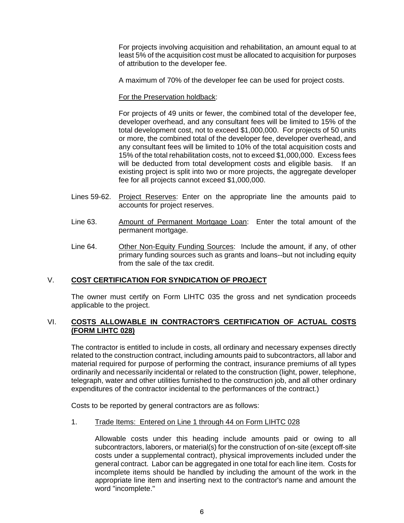For projects involving acquisition and rehabilitation, an amount equal to at least 5% of the acquisition cost must be allocated to acquisition for purposes of attribution to the developer fee.

A maximum of 70% of the developer fee can be used for project costs.

#### For the Preservation holdback:

For projects of 49 units or fewer, the combined total of the developer fee, developer overhead, and any consultant fees will be limited to 15% of the total development cost, not to exceed \$1,000,000. For projects of 50 units or more, the combined total of the developer fee, developer overhead, and any consultant fees will be limited to 10% of the total acquisition costs and 15% of the total rehabilitation costs, not to exceed \$1,000,000. Excess fees will be deducted from total development costs and eligible basis. If an existing project is split into two or more projects, the aggregate developer fee for all projects cannot exceed \$1,000,000.

- Lines 59-62. Project Reserves: Enter on the appropriate line the amounts paid to accounts for project reserves.
- Line 63. Amount of Permanent Mortgage Loan: Enter the total amount of the permanent mortgage.
- Line 64. Other Non-Equity Funding Sources: Include the amount, if any, of other primary funding sources such as grants and loans--but not including equity from the sale of the tax credit.

# V. **COST CERTIFICATION FOR SYNDICATION OF PROJECT**

The owner must certify on Form LIHTC 035 the gross and net syndication proceeds applicable to the project.

# VI. **COSTS ALLOWABLE IN CONTRACTOR'S CERTIFICATION OF ACTUAL COSTS (FORM LIHTC 028)**

The contractor is entitled to include in costs, all ordinary and necessary expenses directly related to the construction contract, including amounts paid to subcontractors, all labor and material required for purpose of performing the contract, insurance premiums of all types ordinarily and necessarily incidental or related to the construction (light, power, telephone, telegraph, water and other utilities furnished to the construction job, and all other ordinary expenditures of the contractor incidental to the performances of the contract.)

Costs to be reported by general contractors are as follows:

#### 1. Trade Items: Entered on Line 1 through 44 on Form LIHTC 028

Allowable costs under this heading include amounts paid or owing to all subcontractors, laborers, or material(s) for the construction of on-site (except off-site costs under a supplemental contract), physical improvements included under the general contract. Labor can be aggregated in one total for each line item. Costs for incomplete items should be handled by including the amount of the work in the appropriate line item and inserting next to the contractor's name and amount the word "incomplete."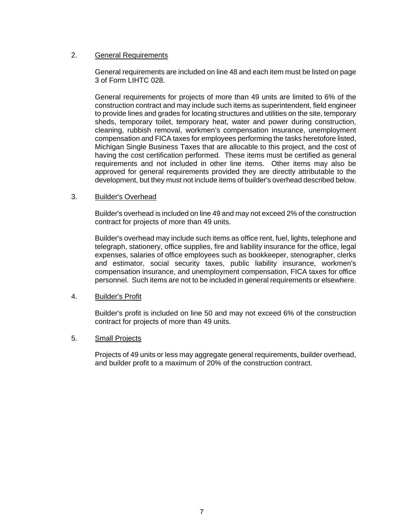# 2. General Requirements

General requirements are included on line 48 and each item must be listed on page 3 of Form LIHTC 028.

General requirements for projects of more than 49 units are limited to 6% of the construction contract and may include such items as superintendent, field engineer to provide lines and grades for locating structures and utilities on the site, temporary sheds, temporary toilet, temporary heat, water and power during construction, cleaning, rubbish removal, workmen's compensation insurance, unemployment compensation and FICA taxes for employees performing the tasks heretofore listed, Michigan Single Business Taxes that are allocable to this project, and the cost of having the cost certification performed. These items must be certified as general requirements and not included in other line items. Other items may also be approved for general requirements provided they are directly attributable to the development, but they must not include items of builder's overhead described below.

#### 3. Builder's Overhead

Builder's overhead is included on line 49 and may not exceed 2% of the construction contract for projects of more than 49 units.

Builder's overhead may include such items as office rent, fuel, lights, telephone and telegraph, stationery, office supplies, fire and liability insurance for the office, legal expenses, salaries of office employees such as bookkeeper, stenographer, clerks and estimator, social security taxes, public liability insurance, workmen's compensation insurance, and unemployment compensation, FICA taxes for office personnel. Such items are not to be included in general requirements or elsewhere.

#### 4. Builder's Profit

Builder's profit is included on line 50 and may not exceed 6% of the construction contract for projects of more than 49 units.

#### 5. Small Projects

Projects of 49 units or less may aggregate general requirements, builder overhead, and builder profit to a maximum of 20% of the construction contract.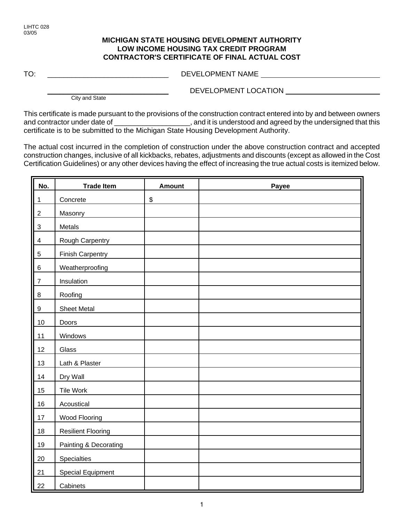# **MICHIGAN STATE HOUSING DEVELOPMENT AUTHORITY LOW INCOME HOUSING TAX CREDIT PROGRAM CONTRACTOR'S CERTIFICATE OF FINAL ACTUAL COST**

TO: \_\_\_\_\_\_\_\_\_\_\_\_\_\_\_\_\_\_\_\_\_\_\_\_\_\_\_\_\_\_ DEVELOPMENT NAME

DEVELOPMENT LOCATION \_\_\_\_\_\_\_\_

City and State

This certificate is made pursuant to the provisions of the construction contract entered into by and between owners and it is understood and agreed by the undersigned that this certificate is to be submitted to the Michigan State Housing Development Authority.

The actual cost incurred in the completion of construction under the above construction contract and accepted construction changes, inclusive of all kickbacks, rebates, adjustments and discounts (except as allowed in the Cost Certification Guidelines) or any other devices having the effect of increasing the true actual costs is itemized below.

| No.                     | <b>Trade Item</b>         | <b>Amount</b> | Payee |
|-------------------------|---------------------------|---------------|-------|
| $\mathbf{1}$            | Concrete                  | \$            |       |
| $\overline{c}$          | Masonry                   |               |       |
| $\mathfrak{S}$          | Metals                    |               |       |
| $\overline{\mathbf{4}}$ | <b>Rough Carpentry</b>    |               |       |
| $\mathbf 5$             | <b>Finish Carpentry</b>   |               |       |
| $\,6$                   | Weatherproofing           |               |       |
| $\overline{7}$          | Insulation                |               |       |
| $\,8\,$                 | Roofing                   |               |       |
| 9                       | <b>Sheet Metal</b>        |               |       |
| 10                      | Doors                     |               |       |
| 11                      | Windows                   |               |       |
| 12                      | Glass                     |               |       |
| 13                      | Lath & Plaster            |               |       |
| 14                      | Dry Wall                  |               |       |
| 15                      | Tile Work                 |               |       |
| 16                      | Acoustical                |               |       |
| 17                      | Wood Flooring             |               |       |
| 18                      | <b>Resilient Flooring</b> |               |       |
| 19                      | Painting & Decorating     |               |       |
| 20                      | Specialties               |               |       |
| 21                      | <b>Special Equipment</b>  |               |       |
| 22                      | Cabinets                  |               |       |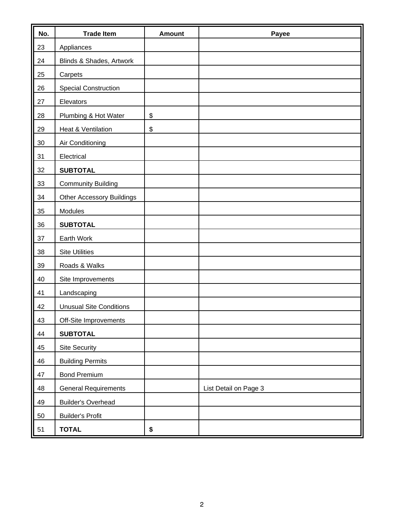| No. | <b>Trade Item</b>                | <b>Amount</b> | Payee                 |
|-----|----------------------------------|---------------|-----------------------|
| 23  | Appliances                       |               |                       |
| 24  | Blinds & Shades, Artwork         |               |                       |
| 25  | Carpets                          |               |                       |
| 26  | <b>Special Construction</b>      |               |                       |
| 27  | Elevators                        |               |                       |
| 28  | Plumbing & Hot Water             | \$            |                       |
| 29  | Heat & Ventilation               | \$            |                       |
| 30  | Air Conditioning                 |               |                       |
| 31  | Electrical                       |               |                       |
| 32  | <b>SUBTOTAL</b>                  |               |                       |
| 33  | <b>Community Building</b>        |               |                       |
| 34  | <b>Other Accessory Buildings</b> |               |                       |
| 35  | Modules                          |               |                       |
| 36  | <b>SUBTOTAL</b>                  |               |                       |
| 37  | Earth Work                       |               |                       |
| 38  | <b>Site Utilities</b>            |               |                       |
| 39  | Roads & Walks                    |               |                       |
| 40  | Site Improvements                |               |                       |
| 41  | Landscaping                      |               |                       |
| 42  | <b>Unusual Site Conditions</b>   |               |                       |
| 43  | Off-Site Improvements            |               |                       |
| 44  | <b>SUBTOTAL</b>                  |               |                       |
| 45  | Site Security                    |               |                       |
| 46  | <b>Building Permits</b>          |               |                       |
| 47  | <b>Bond Premium</b>              |               |                       |
| 48  | <b>General Requirements</b>      |               | List Detail on Page 3 |
| 49  | <b>Builder's Overhead</b>        |               |                       |
| 50  | <b>Builder's Profit</b>          |               |                       |
| 51  | <b>TOTAL</b>                     | \$            |                       |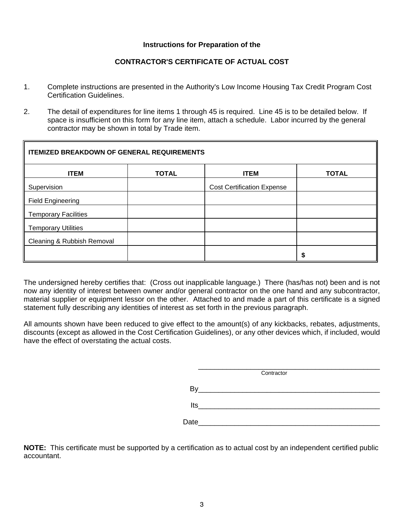# **Instructions for Preparation of the**

# **CONTRACTOR'S CERTIFICATE OF ACTUAL COST**

- 1. Complete instructions are presented in the Authority's Low Income Housing Tax Credit Program Cost Certification Guidelines.
- 2. The detail of expenditures for line items 1 through 45 is required. Line 45 is to be detailed below. If space is insufficient on this form for any line item, attach a schedule. Labor incurred by the general contractor may be shown in total by Trade item.

| <b>ITEMIZED BREAKDOWN OF GENERAL REQUIREMENTS</b> |              |                                   |              |  |  |
|---------------------------------------------------|--------------|-----------------------------------|--------------|--|--|
| <b>ITEM</b>                                       | <b>TOTAL</b> | <b>ITEM</b>                       | <b>TOTAL</b> |  |  |
| Supervision                                       |              | <b>Cost Certification Expense</b> |              |  |  |
| <b>Field Engineering</b>                          |              |                                   |              |  |  |
| <b>Temporary Facilities</b>                       |              |                                   |              |  |  |
| <b>Temporary Utilities</b>                        |              |                                   |              |  |  |
| Cleaning & Rubbish Removal                        |              |                                   |              |  |  |
|                                                   |              |                                   |              |  |  |

The undersigned hereby certifies that: (Cross out inapplicable language.) There (has/has not) been and is not now any identity of interest between owner and/or general contractor on the one hand and any subcontractor, material supplier or equipment lessor on the other. Attached to and made a part of this certificate is a signed statement fully describing any identities of interest as set forth in the previous paragraph.

All amounts shown have been reduced to give effect to the amount(s) of any kickbacks, rebates, adjustments, discounts (except as allowed in the Cost Certification Guidelines), or any other devices which, if included, would have the effect of overstating the actual costs.

|      | Contractor |
|------|------------|
|      |            |
| lts  |            |
| Date |            |

**NOTE:** This certificate must be supported by a certification as to actual cost by an independent certified public accountant.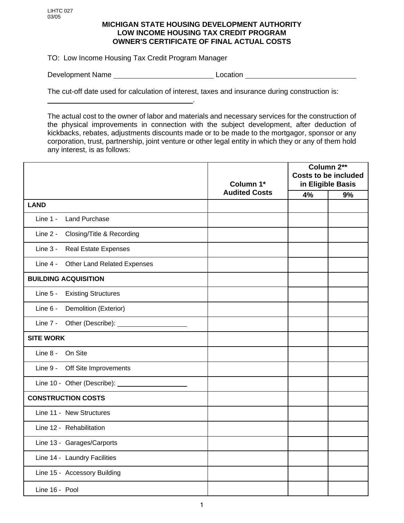# **MICHIGAN STATE HOUSING DEVELOPMENT AUTHORITY LOW INCOME HOUSING TAX CREDIT PROGRAM OWNER'S CERTIFICATE OF FINAL ACTUAL COSTS**

TO: Low Income Housing Tax Credit Program Manager

.

Development Name Location **Location** 

The cut-off date used for calculation of interest, taxes and insurance during construction is:

The actual cost to the owner of labor and materials and necessary services for the construction of the physical improvements in connection with the subject development, after deduction of kickbacks, rebates, adjustments discounts made or to be made to the mortgagor, sponsor or any corporation, trust, partnership, joint venture or other legal entity in which they or any of them hold any interest, is as follows:

|                                                      |                      |    | Column 2**                                       |
|------------------------------------------------------|----------------------|----|--------------------------------------------------|
|                                                      | Column 1*            |    | <b>Costs to be included</b><br>in Eligible Basis |
|                                                      | <b>Audited Costs</b> |    |                                                  |
|                                                      |                      | 4% | 9%                                               |
| <b>LAND</b>                                          |                      |    |                                                  |
| Line 1 -<br><b>Land Purchase</b>                     |                      |    |                                                  |
| Line 2 -<br>Closing/Title & Recording                |                      |    |                                                  |
| Line 3 -<br><b>Real Estate Expenses</b>              |                      |    |                                                  |
| Other Land Related Expenses<br>Line $4 -$            |                      |    |                                                  |
| <b>BUILDING ACQUISITION</b>                          |                      |    |                                                  |
| Line 5 -<br><b>Existing Structures</b>               |                      |    |                                                  |
| Line 6 - Demolition (Exterior)                       |                      |    |                                                  |
| Line 7 -<br>Other (Describe): ______________________ |                      |    |                                                  |
| <b>SITE WORK</b>                                     |                      |    |                                                  |
| Line 8 - On Site                                     |                      |    |                                                  |
| Line 9 - Off Site Improvements                       |                      |    |                                                  |
|                                                      |                      |    |                                                  |
| <b>CONSTRUCTION COSTS</b>                            |                      |    |                                                  |
| Line 11 - New Structures                             |                      |    |                                                  |
| Line 12 - Rehabilitation                             |                      |    |                                                  |
| Line 13 - Garages/Carports                           |                      |    |                                                  |
| Line 14 - Laundry Facilities                         |                      |    |                                                  |
| Line 15 - Accessory Building                         |                      |    |                                                  |
| Line 16 - Pool                                       |                      |    |                                                  |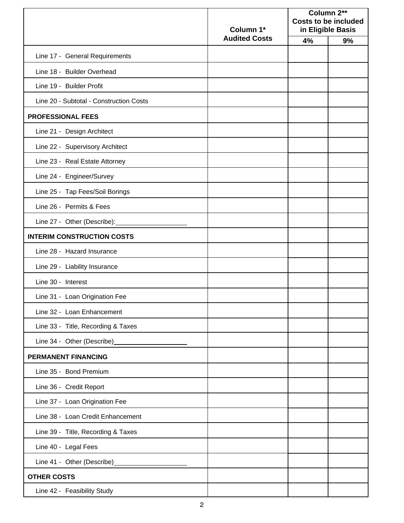|                                         | Column 1*            | Column 2**<br><b>Costs to be included</b><br>in Eligible Basis |    |
|-----------------------------------------|----------------------|----------------------------------------------------------------|----|
|                                         | <b>Audited Costs</b> | 4%                                                             | 9% |
| Line 17 - General Requirements          |                      |                                                                |    |
| Line 18 - Builder Overhead              |                      |                                                                |    |
| Line 19 - Builder Profit                |                      |                                                                |    |
| Line 20 - Subtotal - Construction Costs |                      |                                                                |    |
| <b>PROFESSIONAL FEES</b>                |                      |                                                                |    |
| Line 21 - Design Architect              |                      |                                                                |    |
| Line 22 - Supervisory Architect         |                      |                                                                |    |
| Line 23 - Real Estate Attorney          |                      |                                                                |    |
| Line 24 - Engineer/Survey               |                      |                                                                |    |
| Line 25 - Tap Fees/Soil Borings         |                      |                                                                |    |
| Line 26 - Permits & Fees                |                      |                                                                |    |
| Line 27 - Other (Describe): _______     |                      |                                                                |    |
| <b>INTERIM CONSTRUCTION COSTS</b>       |                      |                                                                |    |
| Line 28 - Hazard Insurance              |                      |                                                                |    |
| Line 29 - Liability Insurance           |                      |                                                                |    |
| Line 30 - Interest                      |                      |                                                                |    |
| Line 31 - Loan Origination Fee          |                      |                                                                |    |
| Line 32 - Loan Enhancement              |                      |                                                                |    |
| Line 33 - Title, Recording & Taxes      |                      |                                                                |    |
|                                         |                      |                                                                |    |
| PERMANENT FINANCING                     |                      |                                                                |    |
| Line 35 - Bond Premium                  |                      |                                                                |    |
| Line 36 - Credit Report                 |                      |                                                                |    |
| Line 37 - Loan Origination Fee          |                      |                                                                |    |
| Line 38 - Loan Credit Enhancement       |                      |                                                                |    |
| Line 39 - Title, Recording & Taxes      |                      |                                                                |    |
| Line 40 - Legal Fees                    |                      |                                                                |    |
| Line 41 - Other (Describe) ________     |                      |                                                                |    |
| <b>OTHER COSTS</b>                      |                      |                                                                |    |
| Line 42 - Feasibility Study             |                      |                                                                |    |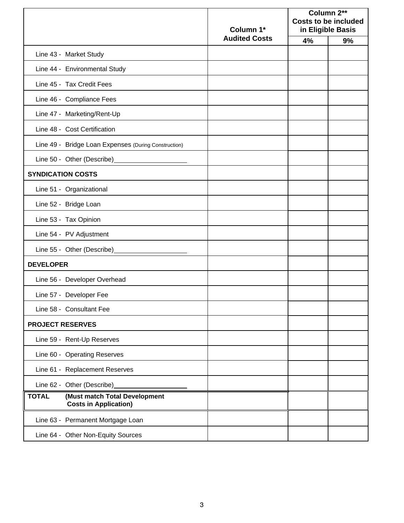|                          |                                                               | Column 1*            |    | Column 2**<br><b>Costs to be included</b><br>in Eligible Basis |  |
|--------------------------|---------------------------------------------------------------|----------------------|----|----------------------------------------------------------------|--|
|                          |                                                               | <b>Audited Costs</b> | 4% | 9%                                                             |  |
|                          | Line 43 - Market Study                                        |                      |    |                                                                |  |
|                          | Line 44 - Environmental Study                                 |                      |    |                                                                |  |
|                          | Line 45 - Tax Credit Fees                                     |                      |    |                                                                |  |
|                          | Line 46 - Compliance Fees                                     |                      |    |                                                                |  |
|                          | Line 47 - Marketing/Rent-Up                                   |                      |    |                                                                |  |
|                          | Line 48 - Cost Certification                                  |                      |    |                                                                |  |
|                          | Line 49 - Bridge Loan Expenses (During Construction)          |                      |    |                                                                |  |
|                          | Line 50 - Other (Describe)____                                |                      |    |                                                                |  |
| <b>SYNDICATION COSTS</b> |                                                               |                      |    |                                                                |  |
|                          | Line 51 - Organizational                                      |                      |    |                                                                |  |
|                          | Line 52 - Bridge Loan                                         |                      |    |                                                                |  |
|                          | Line 53 - Tax Opinion                                         |                      |    |                                                                |  |
|                          | Line 54 - PV Adjustment                                       |                      |    |                                                                |  |
|                          | Line 55 - Other (Describe)                                    |                      |    |                                                                |  |
| <b>DEVELOPER</b>         |                                                               |                      |    |                                                                |  |
|                          | Line 56 - Developer Overhead                                  |                      |    |                                                                |  |
|                          | Line 57 - Developer Fee                                       |                      |    |                                                                |  |
|                          | Line 58 - Consultant Fee                                      |                      |    |                                                                |  |
| <b>PROJECT RESERVES</b>  |                                                               |                      |    |                                                                |  |
|                          | Line 59 - Rent-Up Reserves                                    |                      |    |                                                                |  |
|                          | Line 60 - Operating Reserves                                  |                      |    |                                                                |  |
|                          | Line 61 - Replacement Reserves                                |                      |    |                                                                |  |
|                          | Line 62 - Other (Describe)                                    |                      |    |                                                                |  |
| <b>TOTAL</b>             | (Must match Total Development<br><b>Costs in Application)</b> |                      |    |                                                                |  |
|                          | Line 63 - Permanent Mortgage Loan                             |                      |    |                                                                |  |
|                          | Line 64 - Other Non-Equity Sources                            |                      |    |                                                                |  |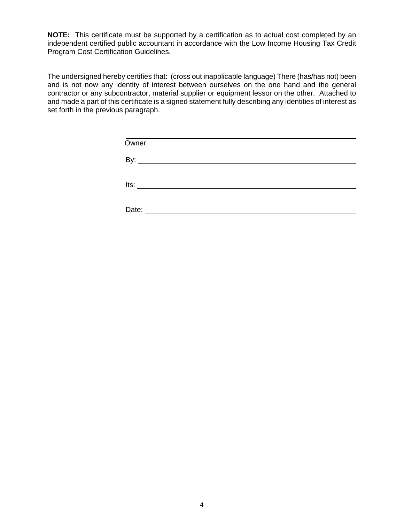**NOTE:** This certificate must be supported by a certification as to actual cost completed by an independent certified public accountant in accordance with the Low Income Housing Tax Credit Program Cost Certification Guidelines.

The undersigned hereby certifies that: (cross out inapplicable language) There (has/has not) been and is not now any identity of interest between ourselves on the one hand and the general contractor or any subcontractor, material supplier or equipment lessor on the other. Attached to and made a part of this certificate is a signed statement fully describing any identities of interest as set forth in the previous paragraph.

| Owner |
|-------|
| By:   |
| lts:  |
| Date: |